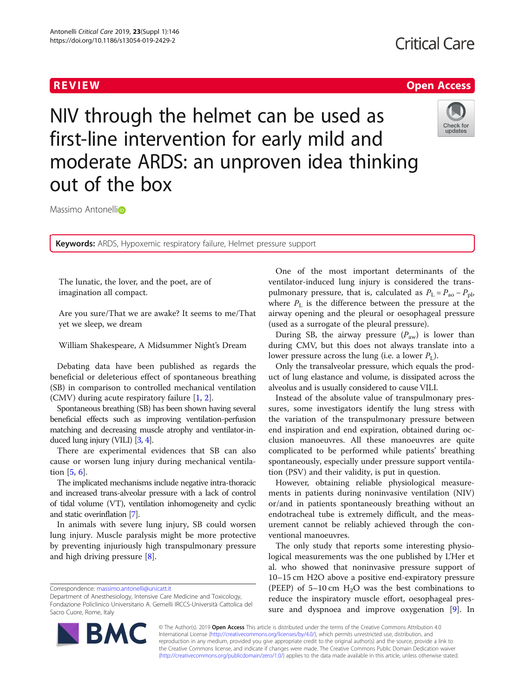# R EVI EW Open Access



NIV through the helmet can be used as first-line intervention for early mild and moderate ARDS: an unproven idea thinking out of the box

Massimo Antonelli<sub>o</sub>

Keywords: ARDS, Hypoxemic respiratory failure, Helmet pressure support

The lunatic, the lover, and the poet, are of imagination all compact.

Are you sure/That we are awake? It seems to me/That yet we sleep, we dream

William Shakespeare, A Midsummer Night's Dream

Debating data have been published as regards the beneficial or deleterious effect of spontaneous breathing (SB) in comparison to controlled mechanical ventilation (CMV) during acute respiratory failure [\[1](#page-1-0), [2](#page-1-0)].

Spontaneous breathing (SB) has been shown having several beneficial effects such as improving ventilation-perfusion matching and decreasing muscle atrophy and ventilator-induced lung injury (VILI) [[3](#page-2-0), [4](#page-2-0)].

There are experimental evidences that SB can also cause or worsen lung injury during mechanical ventilation [\[5,](#page-2-0) [6\]](#page-2-0).

The implicated mechanisms include negative intra-thoracic and increased trans-alveolar pressure with a lack of control of tidal volume (VT), ventilation inhomogeneity and cyclic and static overinflation [\[7\]](#page-2-0).

In animals with severe lung injury, SB could worsen lung injury. Muscle paralysis might be more protective by preventing injuriously high transpulmonary pressure and high driving pressure [\[8](#page-2-0)].

**BM** 



During SB, the airway pressure  $(P_{aw})$  is lower than during CMV, but this does not always translate into a lower pressure across the lung (i.e. a lower  $P<sub>L</sub>$ ).

Only the transalveolar pressure, which equals the product of lung elastance and volume, is dissipated across the alveolus and is usually considered to cause VILI.

Instead of the absolute value of transpulmonary pressures, some investigators identify the lung stress with the variation of the transpulmonary pressure between end inspiration and end expiration, obtained during occlusion manoeuvres. All these manoeuvres are quite complicated to be performed while patients' breathing spontaneously, especially under pressure support ventilation (PSV) and their validity, is put in question.

However, obtaining reliable physiological measurements in patients during noninvasive ventilation (NIV) or/and in patients spontaneously breathing without an endotracheal tube is extremely difficult, and the measurement cannot be reliably achieved through the conventional manoeuvres.

The only study that reports some interesting physiological measurements was the one published by L'Her et al. who showed that noninvasive pressure support of 10–15 cm H2O above a positive end-expiratory pressure (PEEP) of  $5-10$  cm  $H_2O$  was the best combinations to reduce the inspiratory muscle effort, oesophageal pressure and dyspnoea and improve oxygenation [\[9](#page-2-0)]. In



Correspondence: [massimo.antonelli@unicatt.it](mailto:massimo.antonelli@unicatt.it)

Department of Anesthesiology, Intensive Care Medicine and Toxicology, Fondazione Policlinico Universitario A. Gemelli IRCCS-Università Cattolica del Sacro Cuore, Rome, Italy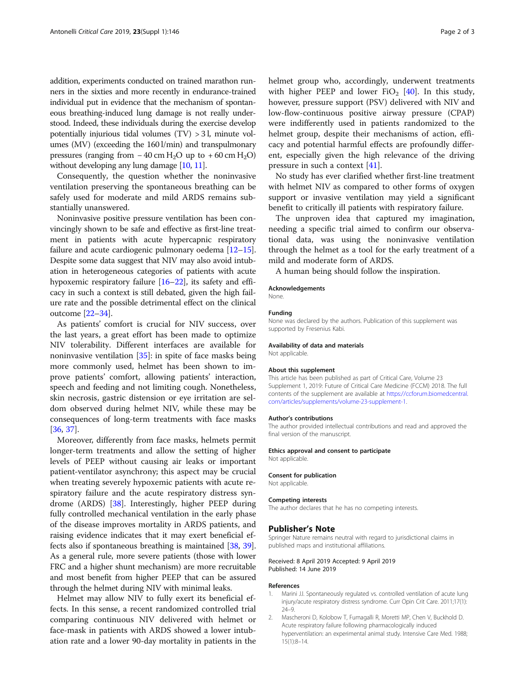<span id="page-1-0"></span>addition, experiments conducted on trained marathon runners in the sixties and more recently in endurance-trained individual put in evidence that the mechanism of spontaneous breathing-induced lung damage is not really understood. Indeed, these individuals during the exercise develop potentially injurious tidal volumes (TV) > 3 l, minute volumes (MV) (exceeding the 160 l/min) and transpulmonary pressures (ranging from  $-40$  cm H<sub>2</sub>O up to  $+60$  cm H<sub>2</sub>O) without developing any lung damage [\[10,](#page-2-0) [11\]](#page-2-0).

Consequently, the question whether the noninvasive ventilation preserving the spontaneous breathing can be safely used for moderate and mild ARDS remains substantially unanswered.

Noninvasive positive pressure ventilation has been convincingly shown to be safe and effective as first-line treatment in patients with acute hypercapnic respiratory failure and acute cardiogenic pulmonary oedema [\[12](#page-2-0)–[15](#page-2-0)]. Despite some data suggest that NIV may also avoid intubation in heterogeneous categories of patients with acute hypoxemic respiratory failure [[16](#page-2-0)–[22\]](#page-2-0), its safety and efficacy in such a context is still debated, given the high failure rate and the possible detrimental effect on the clinical outcome [\[22](#page-2-0)–[34\]](#page-2-0).

As patients' comfort is crucial for NIV success, over the last years, a great effort has been made to optimize NIV tolerability. Different interfaces are available for noninvasive ventilation [[35\]](#page-2-0): in spite of face masks being more commonly used, helmet has been shown to improve patients' comfort, allowing patients' interaction, speech and feeding and not limiting cough. Nonetheless, skin necrosis, gastric distension or eye irritation are seldom observed during helmet NIV, while these may be consequences of long-term treatments with face masks [[36,](#page-2-0) [37\]](#page-2-0).

Moreover, differently from face masks, helmets permit longer-term treatments and allow the setting of higher levels of PEEP without causing air leaks or important patient-ventilator asynchrony; this aspect may be crucial when treating severely hypoxemic patients with acute respiratory failure and the acute respiratory distress syndrome (ARDS) [[38\]](#page-2-0). Interestingly, higher PEEP during fully controlled mechanical ventilation in the early phase of the disease improves mortality in ARDS patients, and raising evidence indicates that it may exert beneficial effects also if spontaneous breathing is maintained [[38](#page-2-0), [39](#page-2-0)]. As a general rule, more severe patients (those with lower FRC and a higher shunt mechanism) are more recruitable and most benefit from higher PEEP that can be assured through the helmet during NIV with minimal leaks.

Helmet may allow NIV to fully exert its beneficial effects. In this sense, a recent randomized controlled trial comparing continuous NIV delivered with helmet or face-mask in patients with ARDS showed a lower intubation rate and a lower 90-day mortality in patients in the helmet group who, accordingly, underwent treatments with higher PEEP and lower  $FiO<sub>2</sub>$  [[40\]](#page-2-0). In this study, however, pressure support (PSV) delivered with NIV and low-flow-continuous positive airway pressure (CPAP) were indifferently used in patients randomized to the helmet group, despite their mechanisms of action, efficacy and potential harmful effects are profoundly different, especially given the high relevance of the driving pressure in such a context [[41](#page-2-0)].

No study has ever clarified whether first-line treatment with helmet NIV as compared to other forms of oxygen support or invasive ventilation may yield a significant benefit to critically ill patients with respiratory failure.

The unproven idea that captured my imagination, needing a specific trial aimed to confirm our observational data, was using the noninvasive ventilation through the helmet as a tool for the early treatment of a mild and moderate form of ARDS.

A human being should follow the inspiration.

### Acknowledgements

None.

## Funding

None was declared by the authors. Publication of this supplement was supported by Fresenius Kabi.

## Availability of data and materials

Not applicable.

## About this supplement

This article has been published as part of Critical Care, Volume 23 Supplement 1, 2019: Future of Critical Care Medicine (FCCM) 2018. The full contents of the supplement are available at [https://ccforum.biomedcentral.](https://ccforum.biomedcentral.com/articles/supplements/volume-23-supplement-1) [com/articles/supplements/volume-23-supplement-1.](https://ccforum.biomedcentral.com/articles/supplements/volume-23-supplement-1)

## Author's contributions

The author provided intellectual contributions and read and approved the final version of the manuscript.

## Ethics approval and consent to participate

Not applicable

## Consent for publication

Not applicable.

## Competing interests

The author declares that he has no competing interests.

## Publisher's Note

Springer Nature remains neutral with regard to jurisdictional claims in published maps and institutional affiliations.

## Received: 8 April 2019 Accepted: 9 April 2019 Published: 14 June 2019

## References

- 1. Marini JJ. Spontaneously regulated vs. controlled ventilation of acute lung injury/acute respiratory distress syndrome. Curr Opin Crit Care. 2011;17(1): 24–9.
- 2. Mascheroni D, Kolobow T, Fumagalli R, Moretti MP, Chen V, Buckhold D. Acute respiratory failure following pharmacologically induced hyperventilation: an experimental animal study. Intensive Care Med. 1988; 15(1):8–14.